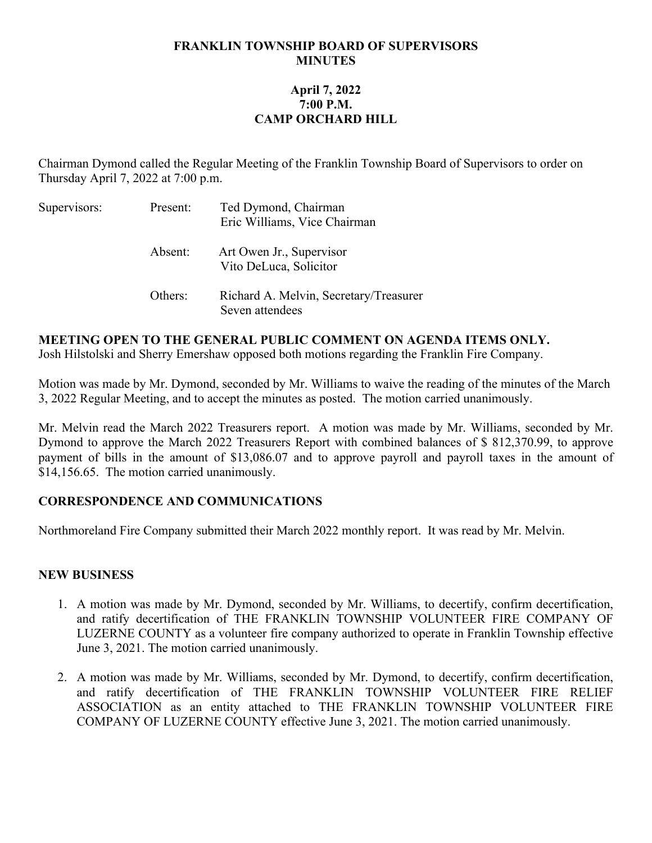#### **FRANKLIN TOWNSHIP BOARD OF SUPERVISORS MINUTES**

# **April 7, 2022 7:00 P.M. CAMP ORCHARD HILL**

Chairman Dymond called the Regular Meeting of the Franklin Township Board of Supervisors to order on Thursday April 7, 2022 at 7:00 p.m.

| Supervisors: | Present: | Ted Dymond, Chairman<br>Eric Williams, Vice Chairman      |
|--------------|----------|-----------------------------------------------------------|
|              | Absent:  | Art Owen Jr., Supervisor<br>Vito DeLuca, Solicitor        |
|              | Others:  | Richard A. Melvin, Secretary/Treasurer<br>Seven attendees |

#### **MEETING OPEN TO THE GENERAL PUBLIC COMMENT ON AGENDA ITEMS ONLY.**

Josh Hilstolski and Sherry Emershaw opposed both motions regarding the Franklin Fire Company.

Motion was made by Mr. Dymond, seconded by Mr. Williams to waive the reading of the minutes of the March 3, 2022 Regular Meeting, and to accept the minutes as posted. The motion carried unanimously.

Mr. Melvin read the March 2022 Treasurers report. A motion was made by Mr. Williams, seconded by Mr. Dymond to approve the March 2022 Treasurers Report with combined balances of \$ 812,370.99, to approve payment of bills in the amount of \$13,086.07 and to approve payroll and payroll taxes in the amount of \$14,156.65. The motion carried unanimously.

# **CORRESPONDENCE AND COMMUNICATIONS**

Northmoreland Fire Company submitted their March 2022 monthly report. It was read by Mr. Melvin.

# **NEW BUSINESS**

- 1. A motion was made by Mr. Dymond, seconded by Mr. Williams, to decertify, confirm decertification, and ratify decertification of THE FRANKLIN TOWNSHIP VOLUNTEER FIRE COMPANY OF LUZERNE COUNTY as a volunteer fire company authorized to operate in Franklin Township effective June 3, 2021. The motion carried unanimously.
- 2. A motion was made by Mr. Williams, seconded by Mr. Dymond, to decertify, confirm decertification, and ratify decertification of THE FRANKLIN TOWNSHIP VOLUNTEER FIRE RELIEF ASSOCIATION as an entity attached to THE FRANKLIN TOWNSHIP VOLUNTEER FIRE COMPANY OF LUZERNE COUNTY effective June 3, 2021. The motion carried unanimously.